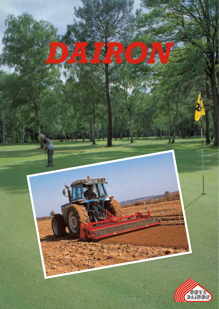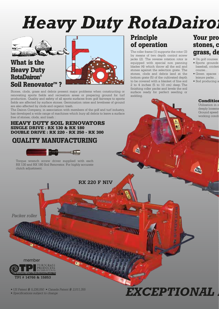# **Heavy Duty RotaDairon**



#### **What is the Heavy Duty RotaDairon® Soil Renovator™?**



Stones, clods, grass and debris present major problems when constructing or renovating sports fields and recreation areas or preparing ground for turf production. Quality and safety of all sports surfaces from golf fairways to sports fields are affected by surface stones. Germination rates and levelness of ground are also affected by clods and organic trash.

The Dairon Company, in association with members of the golf and turf industry, has developed a wide range of machines which bury all debris to leave a surface free of stones, clods, and trash :

**HEAVY DUTY SOIL RENOVATORS SINGLE DRIVE : RX 130 & RX 180 DOUBLE DRIVE : RX 220 - RX 250 - RX 300**

#### **QUALITY MANUFACTURING**



Torque wrench screw driver supplied with each RX 130 and RX 180 Soil Renovator. For highly accurate clutch adjustment.

**RX 220 F NIV**

<u> Barangan manang mga katalog sa mga katalog ng mga katalog ng mga katalog ng mga katalog ng mga katalog ng mga katalog ng mga katalog ng mga katalog ng mga katalog ng mga katalog ng mga katalog ng mga katalog ng mga katal</u>

*Packer roller*



*• US Patent # 5,236,050 • Canada Patent # 2,011,355*

*• Specifications subject to change*

### **Principle of operation**

The roller frame (1) supports the rotor (3) by means of two depth control screw jacks (2). The reverse rotation rotor is equipped with special non panning blades (4) which throw all the soil and stones against the selection grate. The stones, clods and debris land at the bottom grate (5) of the cultivated depth to be covered with a blanket of fine soil 2 to 4 inches (5 to 10 cm) deep. The finishing roller packs and levels the soil surface ready for perfect seeding or sodding.

*EXCEPTIONAL* 

#### **Your pro stones, c grass, de**

- On golf courses
- Sports grounds baseball, cricket course...
- Green spaces leisure parks...
- Sod producing a

#### **Condition**

Utilization in c deeply loosene Ground speed working condi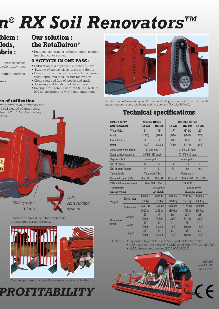# *n® RX Soil RenovatorsTM*

#### **blem : clods, ebris :**

: football/soccer, , polo, rugby, race

public gardens,

**ns of utilization** vergrowth or on previously and ed soil cleared of large rocks. from 1/2 to 1 MPH according to

reas

tions.

#### **Our solution : the RotaDairon®**

• Reduces the cost of arduous stone picking (mechanical or manual)

#### **6 ACTIONS IN ONE PASS :**

- Cultivation to a depth of 8,5 inches (22 cm) • Burying of stones, clods, grass and debris
- Creation of a fine soil surface for accurate seed depth, and ideal for turf renovation
- Clean seed bed free of weeds and trash • Levelling and finishing of the surface
- Rolling firm from 800 to 2000 Ibs (250 to 900 kg) according to width and equipment



*Double rotor drive with hydraulic torque limiting systems at both rotor ends guarantees protection, reliabibity and long service (RX 220/250/300).*

### **Technical specifications**

| <b>HEAVY DUTY</b><br><b>Soil Renovator</b> |               | <b>SINGLE DRIVE</b>         |               | <b>DOUBLE DRIVE</b>                |               |               |
|--------------------------------------------|---------------|-----------------------------|---------------|------------------------------------|---------------|---------------|
|                                            |               | <b>RX 130</b>               | <b>RX 180</b> | <b>RX 220</b>                      | <b>RX 250</b> | <b>RX 300</b> |
| Work Width                                 |               | 51"                         | 71"           | 87"                                | 98" 1/2       | 120"          |
| (mm)                                       |               | (1300)                      | (1800)        | (2200)                             | (2500)        | (3000)        |
| Overall width                              |               | 62"                         | 86"           | 116"                               | 12.5"         | 148"          |
| (mm)                                       |               | (1600)                      | (2200)        | (2950)                             | (3175)        | (3800)        |
| Adjustable work depth                      |               | 8" (200 mm)                 |               | 8"5/8 (220 mm)                     |               |               |
| Rotor outside diameter                     |               | 20"2/8 (520 mm)             |               | 23"6/8 (610 mm)                    |               |               |
| Depth control                              |               | screw jacks                 |               | screw jacks                        |               |               |
| Nbr of blades                              |               | 42.                         | 54            | 66                                 | 72.           | 90            |
| Nbr of grate fingers                       |               | 44                          | 61            | 74                                 | 80            | 101           |
| 3 point hitch                              |               | Categories 1 & 2            |               | Category 2                         |               |               |
| Required power (HP)                        |               | 48 to 70                    | 65 to 95      | 90 to 110                          | 110 to 150    | 110 to 160    |
| PTO shaft rotation speed                   |               | 540 or 1000 RPM             |               | 1000 RPM                           |               |               |
| Transmission<br>and protection             |               | 1 side driven<br>dry clutch |               | 2 sides driven<br>hydraulic clutch |               |               |
| Weight                                     | Mesh roller   | 1760 lbs                    | 2060 lbs      | 3190 lbs                           | 3300 lbs      | 3870 lbs      |
|                                            |               | 800 kg                      | 935 kg        | 1450 kg                            | 1500 kg       | 1760 kg       |
|                                            | Packer roller | 2250 lbs                    | 2725 lbs      | 3975 lbs                           | 4175 lbs      | 4770 lbs      |
|                                            |               | 1020 kg                     | 1235 kg       | 1800 kg                            | 1890 kg       | 2160 kg       |
| Dimensions<br>(mm)                         | Length        | 63"                         | 87"           | 116"                               | 125"          | 148"          |
|                                            |               | (1600)                      | (2200)        | (2950)                             | (3175)        | (3800)        |
|                                            | Width         | 61"                         | 61"           | 71"                                | 71"           | 71"           |
|                                            |               | (1550)                      | (1550)        | (1800)                             | (1800)        | (1800)        |
|                                            | Height        | 59"<br>(1500)               | 61"<br>(1550) | 63"<br>(1600)                      | 63"<br>(1600) | 63"<br>(1600) |

OPTIONS : • Hydraulic toplink • NIV grader blade • Packer roller

- ARS Anti-ridging system SMX Seed-Box (RX 130/180/220)
- SMA air-assisted seeder (RX 220/250/300)



*ARS Anti-ridging system NIV grader blade* Features : heavy duty rotor mechanism, unbreakable screening rods.



No hard pan due to specially designed sectional blades.

## *PROFITABILITY*